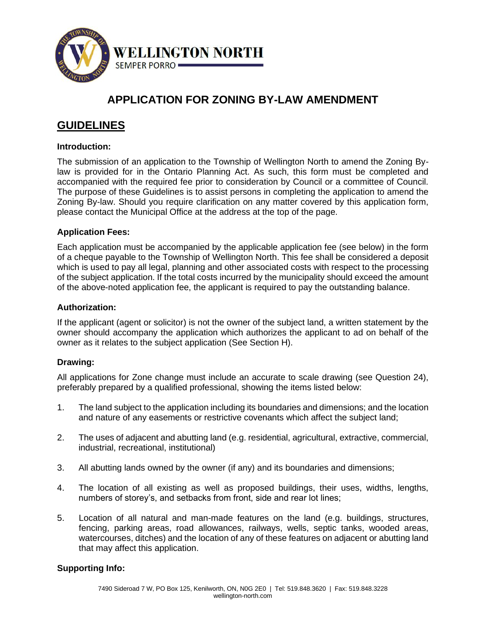

# **APPLICATION FOR ZONING BY-LAW AMENDMENT**

# **GUIDELINES**

# **Introduction:**

The submission of an application to the Township of Wellington North to amend the Zoning Bylaw is provided for in the Ontario Planning Act. As such, this form must be completed and accompanied with the required fee prior to consideration by Council or a committee of Council. The purpose of these Guidelines is to assist persons in completing the application to amend the Zoning By-law. Should you require clarification on any matter covered by this application form, please contact the Municipal Office at the address at the top of the page.

# **Application Fees:**

Each application must be accompanied by the applicable application fee (see below) in the form of a cheque payable to the Township of Wellington North. This fee shall be considered a deposit which is used to pay all legal, planning and other associated costs with respect to the processing of the subject application. If the total costs incurred by the municipality should exceed the amount of the above-noted application fee, the applicant is required to pay the outstanding balance.

## **Authorization:**

If the applicant (agent or solicitor) is not the owner of the subject land, a written statement by the owner should accompany the application which authorizes the applicant to ad on behalf of the owner as it relates to the subject application (See Section H).

## **Drawing:**

All applications for Zone change must include an accurate to scale drawing (see Question 24), preferably prepared by a qualified professional, showing the items listed below:

- 1. The land subject to the application including its boundaries and dimensions; and the location and nature of any easements or restrictive covenants which affect the subject land;
- 2. The uses of adjacent and abutting land (e.g. residential, agricultural, extractive, commercial, industrial, recreational, institutional)
- 3. All abutting lands owned by the owner (if any) and its boundaries and dimensions;
- 4. The location of all existing as well as proposed buildings, their uses, widths, lengths, numbers of storey's, and setbacks from front, side and rear lot lines;
- 5. Location of all natural and man-made features on the land (e.g. buildings, structures, fencing, parking areas, road allowances, railways, wells, septic tanks, wooded areas, watercourses, ditches) and the location of any of these features on adjacent or abutting land that may affect this application.

## **Supporting Info:**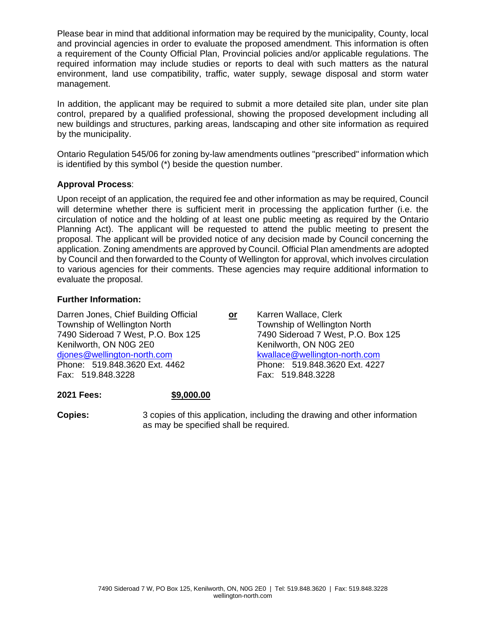Please bear in mind that additional information may be required by the municipality, County, local and provincial agencies in order to evaluate the proposed amendment. This information is often a requirement of the County Official Plan, Provincial policies and/or applicable regulations. The required information may include studies or reports to deal with such matters as the natural environment, land use compatibility, traffic, water supply, sewage disposal and storm water management.

In addition, the applicant may be required to submit a more detailed site plan, under site plan control, prepared by a qualified professional, showing the proposed development including all new buildings and structures, parking areas, landscaping and other site information as required by the municipality.

Ontario Regulation 545/06 for zoning by-law amendments outlines "prescribed" information which is identified by this symbol (\*) beside the question number.

## **Approval Process**:

Upon receipt of an application, the required fee and other information as may be required, Council will determine whether there is sufficient merit in processing the application further (i.e. the circulation of notice and the holding of at least one public meeting as required by the Ontario Planning Act). The applicant will be requested to attend the public meeting to present the proposal. The applicant will be provided notice of any decision made by Council concerning the application. Zoning amendments are approved by Council. Official Plan amendments are adopted by Council and then forwarded to the County of Wellington for approval, which involves circulation to various agencies for their comments. These agencies may require additional information to evaluate the proposal.

## **Further Information:**

Darren Jones, Chief Building Official **or** Karren Wallace, Clerk Township of Wellington North Township of Wellington North 7490 Sideroad 7 West, P.O. Box 125 7490 Sideroad 7 West, P.O. Box 125 Kenilworth, ON N0G 2E0 Kenilworth, ON N0G 2E0 diones@wellington-north.com <br>
Phone: 519.848.3620 Ext. 4462 Phone: 519.848.3620 Ext. 4227 Phone: 519.848.3620 Ext. 4462 Fax: 519.848.3228 Fax: 519.848.3228

**2021 Fees: \$9,000.00**

**Copies:** 3 copies of this application, including the drawing and other information as may be specified shall be required.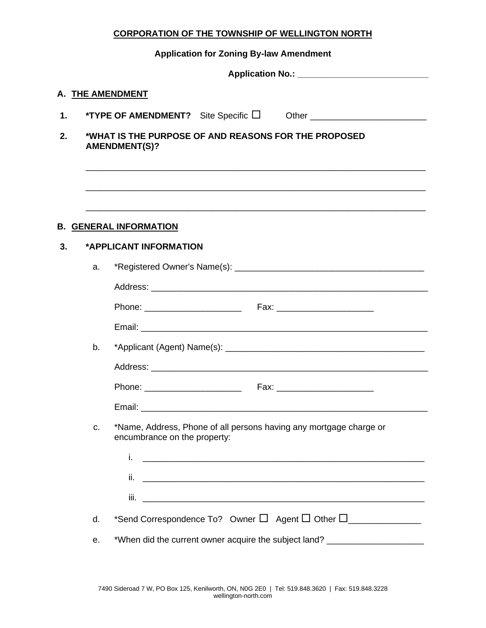### **CORPORATION OF THE TOWNSHIP OF WELLINGTON NORTH**

# **Application for Zoning By-law Amendment**

|    |    | A. THE AMENDMENT                                                                                                                                                                 |
|----|----|----------------------------------------------------------------------------------------------------------------------------------------------------------------------------------|
| 1. |    | <b>*TYPE OF AMENDMENT?</b> Site Specific $\Box$ Other $\_\_\_\_\_\_\_\_\_\_\_\_\_\_\_\_\_\_\_$                                                                                   |
| 2. |    | *WHAT IS THE PURPOSE OF AND REASONS FOR THE PROPOSED<br><b>AMENDMENT(S)?</b>                                                                                                     |
| 3. |    | <u> 1989 - Johann Harry Harry Harry Harry Harry Harry Harry Harry Harry Harry Harry Harry Harry Harry Harry Harry</u><br><b>B. GENERAL INFORMATION</b><br>*APPLICANT INFORMATION |
|    |    |                                                                                                                                                                                  |
|    | a. |                                                                                                                                                                                  |
|    |    |                                                                                                                                                                                  |
|    |    |                                                                                                                                                                                  |
|    | b. |                                                                                                                                                                                  |
|    |    |                                                                                                                                                                                  |
|    |    |                                                                                                                                                                                  |
|    |    |                                                                                                                                                                                  |
|    | C. | *Name, Address, Phone of all persons having any mortgage charge or<br>encumbrance on the property:                                                                               |
|    |    | i.                                                                                                                                                                               |
|    |    | ii.<br><u> 1989 - Johann John Stone, market fan de Amerikaanske kommunister fan de Amerikaanske kommunister fan de Frys</u>                                                      |
|    |    |                                                                                                                                                                                  |
|    | d. | *Send Correspondence To? Owner $\Box$ Agent $\Box$ Other $\Box$                                                                                                                  |
|    | е. | *When did the current owner acquire the subject land? __________________________                                                                                                 |
|    |    |                                                                                                                                                                                  |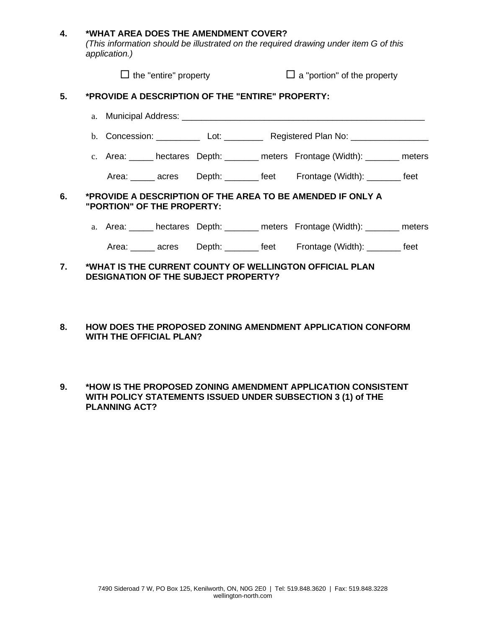#### **4. \*WHAT AREA DOES THE AMENDMENT COVER?**

*(This information should be illustrated on the required drawing under item G of this application.)*

|    | $\Box$ the "entire" property                                                                           |  | $\Box$ a "portion" of the property                                               |  |  |
|----|--------------------------------------------------------------------------------------------------------|--|----------------------------------------------------------------------------------|--|--|
| 5. | *PROVIDE A DESCRIPTION OF THE "ENTIRE" PROPERTY:                                                       |  |                                                                                  |  |  |
|    |                                                                                                        |  |                                                                                  |  |  |
|    |                                                                                                        |  | b. Concession: ___________ Lot: _________ Registered Plan No: __________________ |  |  |
|    |                                                                                                        |  | c. Area: ______ hectares Depth: _______ meters Frontage (Width): _______ meters  |  |  |
|    |                                                                                                        |  | Area: ______ acres Depth: _______ feet Frontage (Width): _______ feet            |  |  |
| 6. | *PROVIDE A DESCRIPTION OF THE AREA TO BE AMENDED IF ONLY A<br>"PORTION" OF THE PROPERTY:               |  |                                                                                  |  |  |
|    |                                                                                                        |  | a. Area: hectares Depth: ______ meters Frontage (Width): ______ meters           |  |  |
|    |                                                                                                        |  | Area: ______ acres Depth: _______ feet Frontage (Width): _______ feet            |  |  |
| 7. | *WHAT IS THE CURRENT COUNTY OF WELLINGTON OFFICIAL PLAN<br><b>DESIGNATION OF THE SUBJECT PROPERTY?</b> |  |                                                                                  |  |  |

- **8. HOW DOES THE PROPOSED ZONING AMENDMENT APPLICATION CONFORM WITH THE OFFICIAL PLAN?**
- **9. \*HOW IS THE PROPOSED ZONING AMENDMENT APPLICATION CONSISTENT WITH POLICY STATEMENTS ISSUED UNDER SUBSECTION 3 (1) of THE PLANNING ACT?**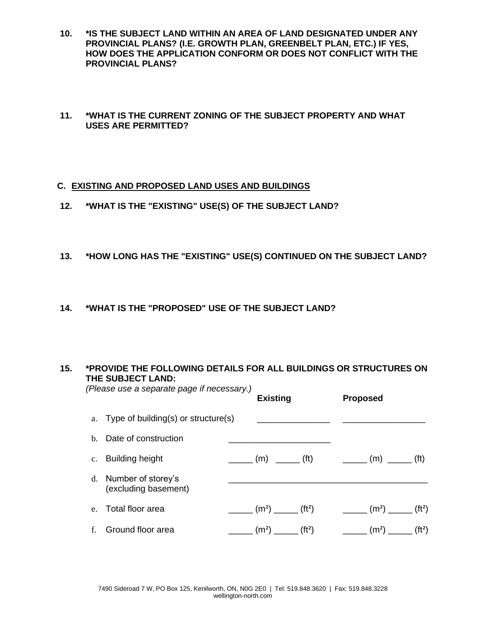- **10. \*IS THE SUBJECT LAND WITHIN AN AREA OF LAND DESIGNATED UNDER ANY PROVINCIAL PLANS? (I.E. GROWTH PLAN, GREENBELT PLAN, ETC.) IF YES, HOW DOES THE APPLICATION CONFORM OR DOES NOT CONFLICT WITH THE PROVINCIAL PLANS?**
- **11. \*WHAT IS THE CURRENT ZONING OF THE SUBJECT PROPERTY AND WHAT USES ARE PERMITTED?**

## **C. EXISTING AND PROPOSED LAND USES AND BUILDINGS**

- **12. \*WHAT IS THE "EXISTING" USE(S) OF THE SUBJECT LAND?**
- **13. \*HOW LONG HAS THE "EXISTING" USE(S) CONTINUED ON THE SUBJECT LAND?**
- **14. \*WHAT IS THE "PROPOSED" USE OF THE SUBJECT LAND?**

#### **15. \*PROVIDE THE FOLLOWING DETAILS FOR ALL BUILDINGS OR STRUCTURES ON THE SUBJECT LAND:**  *(Please use a separate page if necessary.)*

|                                               | <b>Existing</b> | <b>Proposed</b>                                                                                                                   |  |
|-----------------------------------------------|-----------------|-----------------------------------------------------------------------------------------------------------------------------------|--|
| a. Type of building(s) or structure(s)        |                 |                                                                                                                                   |  |
| b. Date of construction                       |                 |                                                                                                                                   |  |
| c. Building height                            |                 | _______ (m) ______ (ft) _______ (m) ______ (ft)                                                                                   |  |
| d. Number of storey's<br>(excluding basement) |                 |                                                                                                                                   |  |
| e. Total floor area                           |                 | $\frac{1}{1}$ (m <sup>2</sup> ) $\frac{1}{1}$ (ft <sup>2</sup> ) $\frac{1}{1}$ (m <sup>2</sup> ) $\frac{1}{1}$ (ft <sup>2</sup> ) |  |
| f. Ground floor area                          |                 |                                                                                                                                   |  |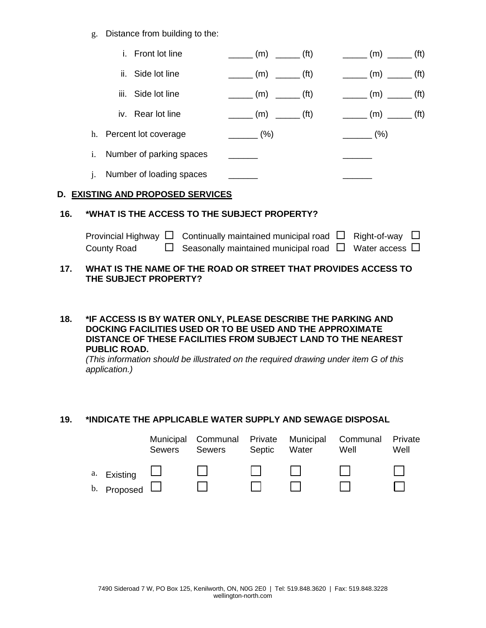g. Distance from building to the:

|     |             | i. Front lot line                                                           |                                      |                                                                                                 |                          | $\frac{1}{1}$ (m) $\frac{1}{1}$ (ft) $\frac{1}{1}$ (m) $\frac{1}{1}$ (ft)                       |  |
|-----|-------------|-----------------------------------------------------------------------------|--------------------------------------|-------------------------------------------------------------------------------------------------|--------------------------|-------------------------------------------------------------------------------------------------|--|
|     |             | ii. Side lot line                                                           |                                      | $\frac{1}{\sqrt{1-\frac{1}{2}}}\left( m\right)$ $\frac{1}{\sqrt{1-\frac{1}{2}}}\left( m\right)$ |                          | $\frac{1}{\sqrt{1-\frac{1}{2}}}\left( m\right)$ $\frac{1}{\sqrt{1-\frac{1}{2}}}\left( m\right)$ |  |
|     |             | iii. Side lot line                                                          |                                      | $\frac{1}{\sqrt{1-\frac{1}{2}}}\left( m\right)$ $\frac{1}{\sqrt{1-\frac{1}{2}}}\left( m\right)$ |                          | $\frac{1}{\sqrt{1-\frac{1}{2}}}\left( m\right)$ $\frac{1}{\sqrt{1-\frac{1}{2}}}\left( m\right)$ |  |
|     |             | iv. Rear lot line                                                           |                                      |                                                                                                 |                          | $\frac{1}{1}$ (m) $\frac{1}{1}$ (ft) $\frac{1}{1}$ (m) $\frac{1}{1}$ (ft)                       |  |
|     |             | h. Percent lot coverage                                                     |                                      | $\frac{(\%)}{(\%)}$                                                                             | $\frac{1}{\sqrt{2}}$ (%) |                                                                                                 |  |
|     |             | i. Number of parking spaces                                                 |                                      |                                                                                                 |                          |                                                                                                 |  |
|     |             | j. Number of loading spaces                                                 |                                      |                                                                                                 |                          |                                                                                                 |  |
|     |             | D. EXISTING AND PROPOSED SERVICES                                           |                                      |                                                                                                 |                          |                                                                                                 |  |
| 16. |             | *WHAT IS THE ACCESS TO THE SUBJECT PROPERTY?                                |                                      |                                                                                                 |                          |                                                                                                 |  |
|     | County Road | Provincial Highway $\Box$ Continually maintained municipal road $\Box$<br>ப | Seasonally maintained municipal road |                                                                                                 |                          | Right-of-way<br>Water access $\Box$                                                             |  |

#### **17. WHAT IS THE NAME OF THE ROAD OR STREET THAT PROVIDES ACCESS TO THE SUBJECT PROPERTY?**

#### **18. \*IF ACCESS IS BY WATER ONLY, PLEASE DESCRIBE THE PARKING AND DOCKING FACILITIES USED OR TO BE USED AND THE APPROXIMATE DISTANCE OF THESE FACILITIES FROM SUBJECT LAND TO THE NEAREST PUBLIC ROAD.**

*(This information should be illustrated on the required drawing under item G of this application.)*

# **19. \*INDICATE THE APPLICABLE WATER SUPPLY AND SEWAGE DISPOSAL**

|                    | Sewers | Municipal Communal Private Municipal Communal<br>Sewers | Septic | Water            | Well | Private<br>Well |
|--------------------|--------|---------------------------------------------------------|--------|------------------|------|-----------------|
| a. Existing $\Box$ |        |                                                         |        | and the property |      |                 |
| b. Proposed $\Box$ |        |                                                         |        |                  |      |                 |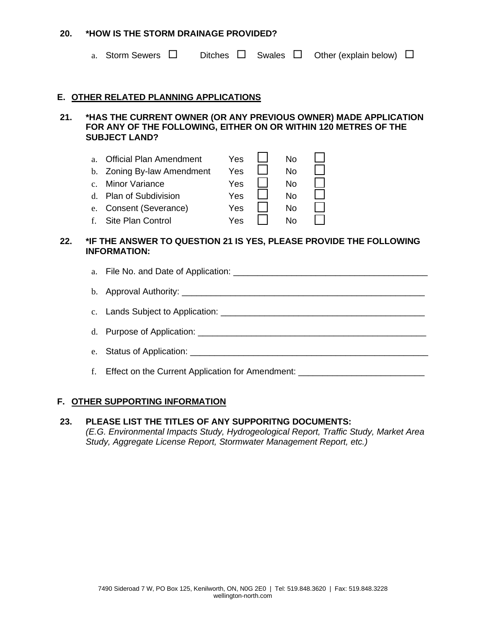#### **20. \*HOW IS THE STORM DRAINAGE PROVIDED?**

|                          | a. Storm Sewers                                                                                                                 | <b>Ditches</b>                  | Swales |                                      | Other (explain below)                                                                                                              |  |
|--------------------------|---------------------------------------------------------------------------------------------------------------------------------|---------------------------------|--------|--------------------------------------|------------------------------------------------------------------------------------------------------------------------------------|--|
|                          | E. OTHER RELATED PLANNING APPLICATIONS                                                                                          |                                 |        |                                      |                                                                                                                                    |  |
| 21.                      | <b>SUBJECT LAND?</b>                                                                                                            |                                 |        |                                      | *HAS THE CURRENT OWNER (OR ANY PREVIOUS OWNER) MADE APPLICATION<br>FOR ANY OF THE FOLLOWING, EITHER ON OR WITHIN 120 METRES OF THE |  |
| a.<br>$\mathbf{c}$<br>e. | Official Plan Amendment<br>b. Zoning By-law Amendment<br><b>Minor Variance</b><br>d. Plan of Subdivision<br>Consent (Severance) | Yes<br>Yes<br>Yes<br>Yes<br>Yes |        | No.<br>No.<br><b>No</b><br>No.<br>No |                                                                                                                                    |  |

f. Site Plan Control  $Yes \quad \Box \quad \text{No} \quad \Box$ 

## **22. \*IF THE ANSWER TO QUESTION 21 IS YES, PLEASE PROVIDE THE FOLLOWING INFORMATION:**

| f. Effect on the Current Application for Amendment: |
|-----------------------------------------------------|

## **F. OTHER SUPPORTING INFORMATION**

# **23. PLEASE LIST THE TITLES OF ANY SUPPORITNG DOCUMENTS:** *(E.G. Environmental Impacts Study, Hydrogeological Report, Traffic Study, Market Area Study, Aggregate License Report, Stormwater Management Report, etc.)*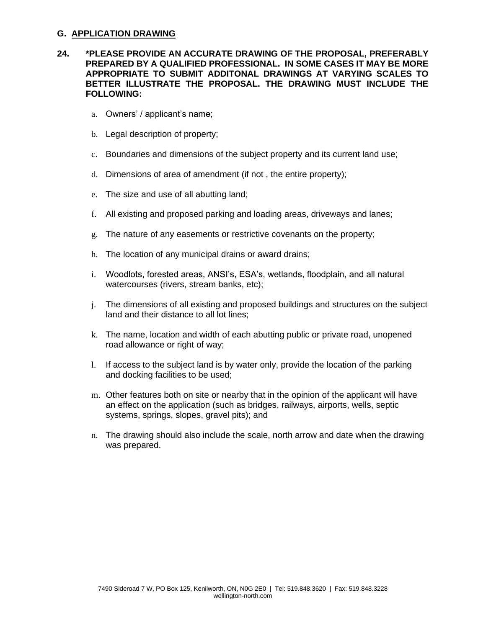#### **G. APPLICATION DRAWING**

#### **24. \*PLEASE PROVIDE AN ACCURATE DRAWING OF THE PROPOSAL, PREFERABLY PREPARED BY A QUALIFIED PROFESSIONAL. IN SOME CASES IT MAY BE MORE APPROPRIATE TO SUBMIT ADDITONAL DRAWINGS AT VARYING SCALES TO BETTER ILLUSTRATE THE PROPOSAL. THE DRAWING MUST INCLUDE THE FOLLOWING:**

- a. Owners' / applicant's name;
- b. Legal description of property;
- c. Boundaries and dimensions of the subject property and its current land use;
- d. Dimensions of area of amendment (if not , the entire property);
- e. The size and use of all abutting land;
- f. All existing and proposed parking and loading areas, driveways and lanes;
- g. The nature of any easements or restrictive covenants on the property;
- h. The location of any municipal drains or award drains;
- i. Woodlots, forested areas, ANSI's, ESA's, wetlands, floodplain, and all natural watercourses (rivers, stream banks, etc);
- j. The dimensions of all existing and proposed buildings and structures on the subject land and their distance to all lot lines;
- k. The name, location and width of each abutting public or private road, unopened road allowance or right of way;
- l. If access to the subject land is by water only, provide the location of the parking and docking facilities to be used;
- m. Other features both on site or nearby that in the opinion of the applicant will have an effect on the application (such as bridges, railways, airports, wells, septic systems, springs, slopes, gravel pits); and
- n. The drawing should also include the scale, north arrow and date when the drawing was prepared.